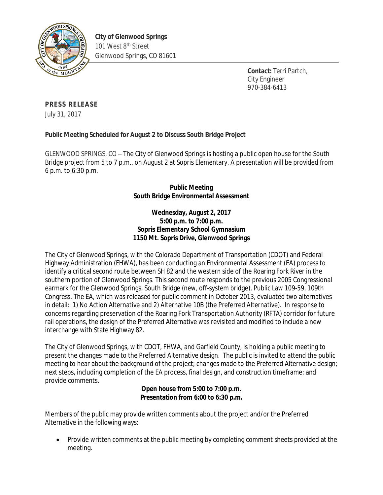

**Contact:** Terri Partch, City Engineer 970-384-6413

# **PRESS RELEASE**

July 31, 2017

## **Public Meeting Scheduled for August 2 to Discuss South Bridge Project**

GLENWOOD SPRINGS, CO – The City of Glenwood Springs is hosting a public open house for the South Bridge project from 5 to 7 p.m., on August 2 at Sopris Elementary. A presentation will be provided from 6 p.m. to 6:30 p.m.

## **Public Meeting South Bridge Environmental Assessment**

### **Wednesday, August 2, 2017 5:00 p.m. to 7:00 p.m. Sopris Elementary School Gymnasium 1150 Mt. Sopris Drive, Glenwood Springs**

The City of Glenwood Springs, with the Colorado Department of Transportation (CDOT) and Federal Highway Administration (FHWA), has been conducting an Environmental Assessment (EA) process to identify a critical second route between SH 82 and the western side of the Roaring Fork River in the southern portion of Glenwood Springs. This second route responds to the previous 2005 Congressional earmark for the Glenwood Springs, South Bridge (new, off-system bridge), Public Law 109-59, 109th Congress. The EA, which was released for public comment in October 2013, evaluated two alternatives in detail: 1) No Action Alternative and 2) Alternative 10B (the Preferred Alternative). In response to concerns regarding preservation of the Roaring Fork Transportation Authority (RFTA) corridor for future rail operations, the design of the Preferred Alternative was revisited and modified to include a new interchange with State Highway 82.

The City of Glenwood Springs, with CDOT, FHWA, and Garfield County, is holding a public meeting to present the changes made to the Preferred Alternative design. The public is invited to attend the public meeting to hear about the background of the project; changes made to the Preferred Alternative design; next steps, including completion of the EA process, final design, and construction timeframe; and provide comments.

### **Open house from 5:00 to 7:00 p.m. Presentation from 6:00 to 6:30 p.m.**

Members of the public may provide written comments about the project and/or the Preferred Alternative in the following ways:

• Provide written comments at the public meeting by completing comment sheets provided at the meeting.